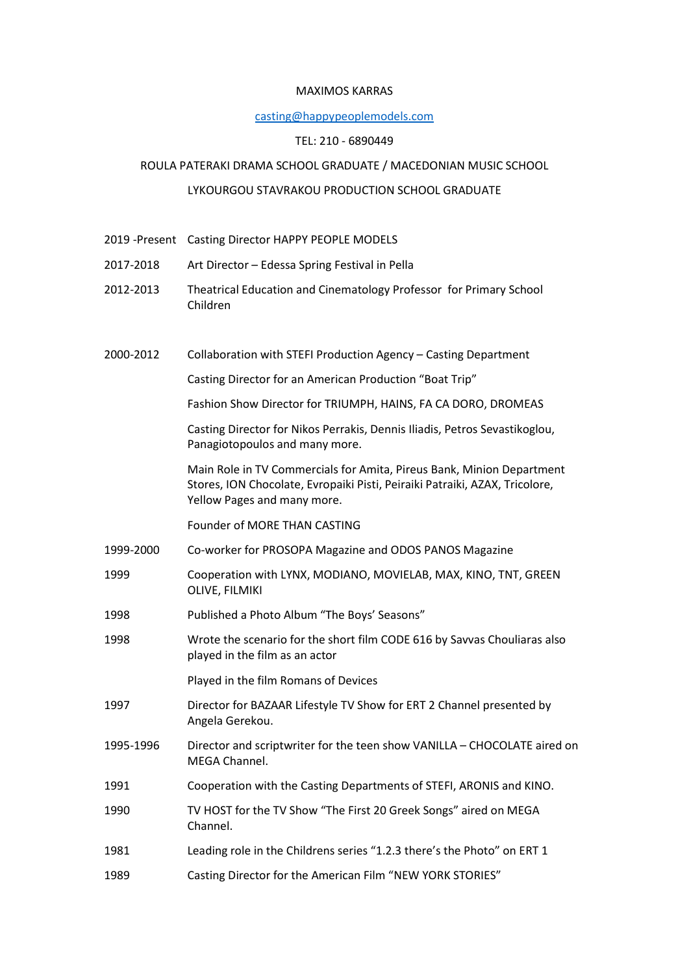#### MAXIMOS KARRAS

#### casting@happypeoplemodels.com

## TEL: 210 - 6890449

## ROULA PATERAKI DRAMA SCHOOL GRADUATE / MACEDONIAN MUSIC SCHOOL

# LYKOURGOU STAVRAKOU PRODUCTION SCHOOL GRADUATE

- 2019 -Present Casting Director HAPPY PEOPLE MODELS
- 2017-2018 Art Director Edessa Spring Festival in Pella
- 2012-2013 Theatrical Education and Cinematology Professor for Primary School Children
- 2000-2012 Collaboration with STEFI Production Agency Casting Department

Casting Director for an American Production "Boat Trip"

Fashion Show Director for TRIUMPH, HAINS, FA CA DORO, DROMEAS

 Casting Director for Nikos Perrakis, Dennis Iliadis, Petros Sevastikoglou, Panagiotopoulos and many more.

 Main Role in TV Commercials for Amita, Pireus Bank, Minion Department Stores, ION Chocolate, Evropaiki Pisti, Peiraiki Patraiki, AZAX, Tricolore, Yellow Pages and many more.

Founder of MORE THAN CASTING

- 1999-2000 Co-worker for PROSOPA Magazine and ODOS PANOS Magazine
- 1999 Cooperation with LYNX, MODIANO, MOVIELAB, MAX, KINO, TNT, GREEN OLIVE, FILMIKI
- 1998 Published a Photo Album "The Boys' Seasons"
- 1998 Wrote the scenario for the short film CODE 616 by Savvas Chouliaras also played in the film as an actor

Played in the film Romans of Devices

- 1997 Director for BAZAAR Lifestyle TV Show for ERT 2 Channel presented by Angela Gerekou.
- 1995-1996 Director and scriptwriter for the teen show VANILLA CHOCOLATE aired on MEGA Channel.
- 1991 Cooperation with the Casting Departments of STEFI, ARONIS and KINO.
- 1990 TV HOST for the TV Show "The First 20 Greek Songs" aired on MEGA Channel.
- 1981 Leading role in the Childrens series "1.2.3 there's the Photo" on ERT 1
- 1989 Casting Director for the American Film "NEW YORK STORIES"